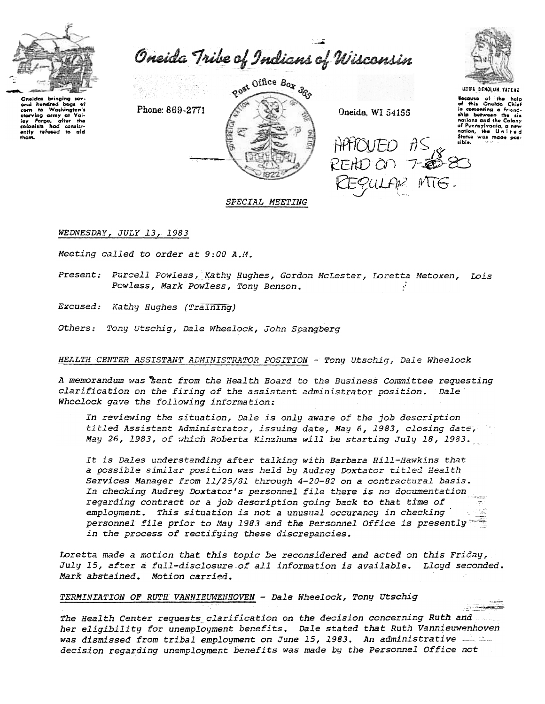

aral hundred bags

starving army at

colonists had consist-<br>ently refused to aid

oy Forpe, a<br>alonists had

 $\sim$ 

Washington's

ofter the

Oneida Tribe of Indians of Wisconsin

Phone: 869-2771



Oneida, WI 54155

 $H$ PMOUED  $\hat{\mathit{H}}$ S

USWA BEHOLUN YATENE Because of the help<br>of this Oneida Chief in comenting a friendnations and the Colony of Pennsylvania, a nation, the United<br>States was made possibia.

<u>siyasan</u>

# SPECIAL MEETING

WEDNESDAY, JULY 13, 1983

Meeting called to order at 9:00 A.M.

Present: Purcell Powless, Kathy Hughes, Gordon McLester, Loretta Metoxen, Lois Powless, Mark Powless, Tony Benson.

Excused: Kathy Hughes (Training)

Others: Tony Utschig, Dale Wheelock, John Spangberg

# HEALTH CENTER ASSISTANT ADMINISTRATOR POSITION - Tony Utschig, Dale Wheelock

A memorandum was sent from the Health Board to the Business Committee requesting clarification on the firing of the assistant administrator position. Dale Wheelock gave the following information:

In reviewing the situation, Dale is only aware of the job description titled Assistant Administrator, issuing date, May 6, 1983, closing date, May 26, 1983, of which Roberta Kinzhuma will be starting July 18, 1983.

It is Dales understanding after talking with Barbara Hill-Hawkins that a possible similar position was held by Audrey Doxtator titled Health Services Manager from 11/25/81 through 4-20-82 on a contractural basis. In checking Audrey Doxtator's personnel file there is no documentation regarding contract or a job description going back to that time of employment. This situation is not a unusual occurancy in checking personnel file prior to May 1983 and the Personnel Office is presently in the process of rectifying these discrepancies.

Loretta made a motion that this topic be reconsidered and acted on this Friday, July 15, after a full-disclosure of all information is available. Lloyd seconded. Mark abstained. Motion carried.

TERMINIATION OF RUTH VANNIEUWENHOVEN - Dale Wheelock, Tony Utschig

The Health Center requests clarification on the decision concerning Ruth and. her eligibility for unemployment benefits. Dale stated that Ruth Vannieuwenhoven was dismissed from tribal employment on June 15, 1983. An administrative - 2000 decision regarding unemployment benefits was made by the Personnel Office not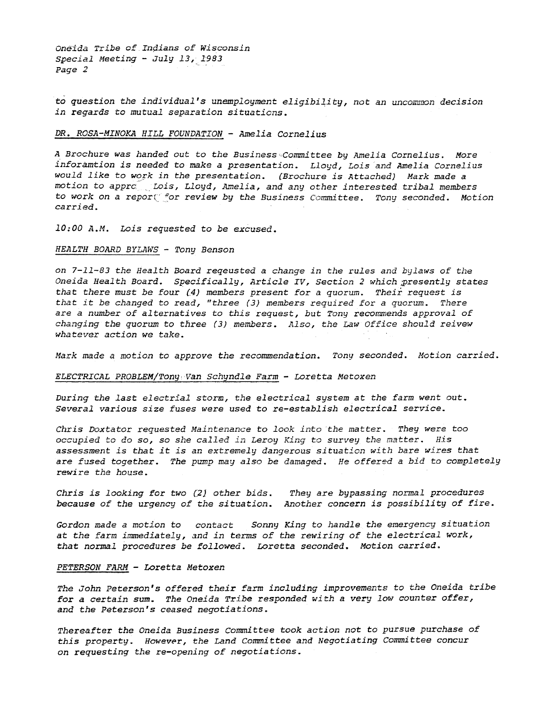Oneida Tribe of Indians of Wisconsin Special Meeting - July 13, 1983 Page 2

to question the individual's unemployment eligibility, not an uncommon decision in regards to mutual separation situaticns.

### DR. ROSA-MINOKA HILL FOUNDATION - Amelia Cornelius

A Brochure was handed out to the Business Committee by Amelia Cornelius. More inforamtion is needed to make a presentation. Lloyd, Lois and Amelia Cornelius would like to work in the presentation. (Brochure is Attached) Mark made a motion to approptois, Lloyd, Amelia, and any other interested tribal members to work on a repor $\zeta^c$  for review by the Business Committee. Tony seconded. Motion carried.

10:00 A.M. Lois requested to be excused.

### HEALTH BOARD BYLAWS - Tony Benson

on 7-11-83 the Health Board reqeusted a change in the rules and bylaws of the Oneida Health Board. Specifically, Article IV, Section 2 which ;presently states that there must be four  $(4)$  members present for a quorum. Their request is that it be changed to read, "three (3) members required for a quorum. There are a number of alternatives to this request, but Tony recommends approval of changing the quorum to three (3) members. Also, the Law Office should reivew whatever action we take.

Mark made a motion to approve the recommendation. Tony seconded. Motion carried

### ELECTRICAL PROBLEM/Tony Van Schyndle Farm - Loretta Metoxen

During the last electrial storm, the electrical system at the farm went out. Several various size fuses were used to re-establish electrical service.

Chris Doxtator requested Maintenance to look into the matter. They were too occupied to do so, so she called in Leroy King to survey the matter. His assessment is that it is an extremely dangerous situation with bare wires that are fused together. The pump may also be damaged. He offered a bid to completely rewire the house.

Chris is looking for two  $(2)$  other bids. They are bypassing normal procedur because of the urgency of the situation. Another concern is possibility of fi.

Gordon made a motion to contact Sonny King to handle the emergency situation at the farm immediately, and in terms of the rewiring of the electrical work, that normal procedures be followed. Loretta seconded. Motion carried.

### PETERSON FARM - Loretta Metoxen

The John Peterson's offered their farm including improvements to the Oneida tribe for a certain sum. The Oneida Tribe responded with a very low counter offer, and the Peterson's ceased negotiations.

Thereafter the Oneida Business Committee took action not to pursue purchase of this property. However, the Land Committee and Negotiating Committee concur on requesting the re-opening of negotiations.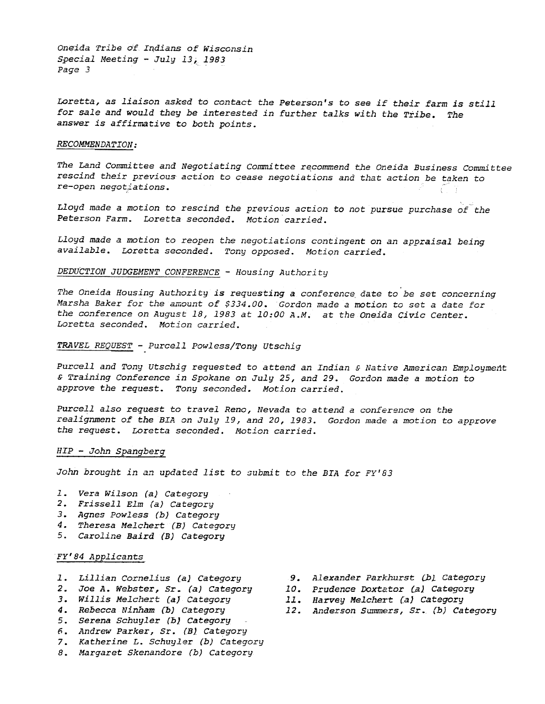Oneida Tribe of Indians of Wisconsin Special Meeting  $-$  July 13; 1983 Page 3

Loretta, as liaison asked to contact the Peterson's to see if their farm is still for sale and would they be interested in further talks with the Tribe. The answer is affirmative to both points.

# RECOMMENDATION:

The Land Committee and Negotiating Committee recommend the Oneida Business Committee rescind their previous action to cease negotiations and that action be taken to

Lloyd made a motion to rescind the previous action to not pursue purchase of the Peterson Farm. Loretta seconded. Motion carried.

Lloyd made a motion to reopen the negotiations contingent on an appraisal being available. Loretta seconded. Tony opposed. Motion carried.

# DEDUCTION JUDGEMENT CONFERENCE - Housing Authority

The Oneida Housing Authority is requesting a conference date to be set concerning Marsha Baker for the amount of \$334.00. Gordon made a motion to set a date for the conference on August 18, 1983 at 10:00 A.M. at the Oneida Civic Center. Loretta seconded. Motion carried.

## TRAVEL REQUEST -Purcell Powless/Tony Utschig

Purcell and Tony utschig requested to attend an Indian & Native American Employment & Training Conference in Spokane on July 25, and 29. Gordon made a motion to approve the request. Tony seconded. Motion carried.

Purcell also request to travel Reno, Nevada to attend a conference on the realignment of the BIA on July 19, and 20, 1983. Gordon made a motion to approve the request. Loretta seconded. Motion carried.

## HIP- John Spangberg

John brought in an updated list to submit to the BIA for FY'83

- 1. Vera Wilson (a) Category
- Frissell Elm (a) Category
- 3. Agnes Powless (b) Category
- 4. Theresa Melchert (B) Categor
- 5. Caroline Baird (B) Category

# Fy'84 Applicants

- Lillian Cornelius (a) Category
- Joe A. Webster, Sr. (a) category
- 3. Willis Melchert (a) Category
- 1. Rebecca Ninham (b) Categor
- Serena Schuyler (b) Category
- 6. Andrew Parker, Sr. (B) Category
- 7. Katherine L. Schuyler (b) Categor
- 8. Margaret Skenandore (b) Categor
- 9. Alexander Parkhurst (b) Category
- 10. Prudence Doxtator (a) Category
- 11. Harvey Melchert (a) Category
- 12. Anderson Summers, Sr. (b) Category